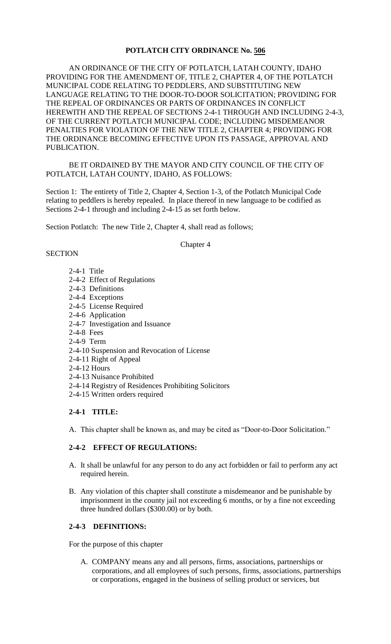## **POTLATCH CITY ORDINANCE No. 506**

AN ORDINANCE OF THE CITY OF POTLATCH, LATAH COUNTY, IDAHO PROVIDING FOR THE AMENDMENT OF, TITLE 2, CHAPTER 4, OF THE POTLATCH MUNICIPAL CODE RELATING TO PEDDLERS, AND SUBSTITUTING NEW LANGUAGE RELATING TO THE DOOR-TO-DOOR SOLICITATION; PROVIDING FOR THE REPEAL OF ORDINANCES OR PARTS OF ORDINANCES IN CONFLICT HEREWITH AND THE REPEAL OF SECTIONS 2-4-1 THROUGH AND INCLUDING 2-4-3, OF THE CURRENT POTLATCH MUNICIPAL CODE; INCLUDING MISDEMEANOR PENALTIES FOR VIOLATION OF THE NEW TITLE 2, CHAPTER 4; PROVIDING FOR THE ORDINANCE BECOMING EFFECTIVE UPON ITS PASSAGE, APPROVAL AND PUBLICATION.

### BE IT ORDAINED BY THE MAYOR AND CITY COUNCIL OF THE CITY OF POTLATCH, LATAH COUNTY, IDAHO, AS FOLLOWS:

Section 1: The entirety of Title 2, Chapter 4, Section 1-3, of the Potlatch Municipal Code relating to peddlers is hereby repealed. In place thereof in new language to be codified as Sections 2-4-1 through and including 2-4-15 as set forth below.

Section Potlatch: The new Title 2, Chapter 4, shall read as follows;

#### Chapter 4

#### **SECTION**

- 2-4-1 Title
- 2-4-2 Effect of Regulations
- 2-4-3 Definitions
- 2-4-4 Exceptions
- 2-4-5 License Required
- 2-4-6 Application
- 2-4-7 Investigation and Issuance
- 2-4-8 Fees
- 2-4-9 Term
- 2-4-10 Suspension and Revocation of License
- 2-4-11 Right of Appeal
- 2-4-12 Hours
- 2-4-13 Nuisance Prohibited
- 2-4-14 Registry of Residences Prohibiting Solicitors
- 2-4-15 Written orders required

#### **2-4-1 TITLE:**

A. This chapter shall be known as, and may be cited as "Door-to-Door Solicitation."

### **2-4-2 EFFECT OF REGULATIONS:**

- A. It shall be unlawful for any person to do any act forbidden or fail to perform any act required herein.
- B. Any violation of this chapter shall constitute a misdemeanor and be punishable by imprisonment in the county jail not exceeding 6 months, or by a fine not exceeding three hundred dollars (\$300.00) or by both.

## **2-4-3 DEFINITIONS:**

For the purpose of this chapter

A. COMPANY means any and all persons, firms, associations, partnerships or corporations, and all employees of such persons, firms, associations, partnerships or corporations, engaged in the business of selling product or services, but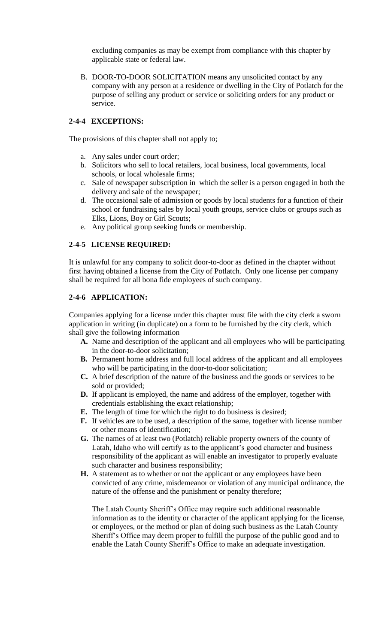excluding companies as may be exempt from compliance with this chapter by applicable state or federal law.

B. DOOR-TO-DOOR SOLICITATION means any unsolicited contact by any company with any person at a residence or dwelling in the City of Potlatch for the purpose of selling any product or service or soliciting orders for any product or service.

## **2-4-4 EXCEPTIONS:**

The provisions of this chapter shall not apply to;

- a. Any sales under court order;
- b. Solicitors who sell to local retailers, local business, local governments, local schools, or local wholesale firms;
- c. Sale of newspaper subscription in which the seller is a person engaged in both the delivery and sale of the newspaper;
- d. The occasional sale of admission or goods by local students for a function of their school or fundraising sales by local youth groups, service clubs or groups such as Elks, Lions, Boy or Girl Scouts;
- e. Any political group seeking funds or membership.

## **2-4-5 LICENSE REQUIRED:**

It is unlawful for any company to solicit door-to-door as defined in the chapter without first having obtained a license from the City of Potlatch. Only one license per company shall be required for all bona fide employees of such company.

## **2-4-6 APPLICATION:**

Companies applying for a license under this chapter must file with the city clerk a sworn application in writing (in duplicate) on a form to be furnished by the city clerk, which shall give the following information

- **A.** Name and description of the applicant and all employees who will be participating in the door-to-door solicitation;
- **B.** Permanent home address and full local address of the applicant and all employees who will be participating in the door-to-door solicitation;
- **C.** A brief description of the nature of the business and the goods or services to be sold or provided;
- **D.** If applicant is employed, the name and address of the employer, together with credentials establishing the exact relationship;
- **E.** The length of time for which the right to do business is desired;
- **F.** If vehicles are to be used, a description of the same, together with license number or other means of identification;
- **G.** The names of at least two (Potlatch) reliable property owners of the county of Latah, Idaho who will certify as to the applicant's good character and business responsibility of the applicant as will enable an investigator to properly evaluate such character and business responsibility;
- **H.** A statement as to whether or not the applicant or any employees have been convicted of any crime, misdemeanor or violation of any municipal ordinance, the nature of the offense and the punishment or penalty therefore;

The Latah County Sheriff's Office may require such additional reasonable information as to the identity or character of the applicant applying for the license, or employees, or the method or plan of doing such business as the Latah County Sheriff's Office may deem proper to fulfill the purpose of the public good and to enable the Latah County Sheriff's Office to make an adequate investigation.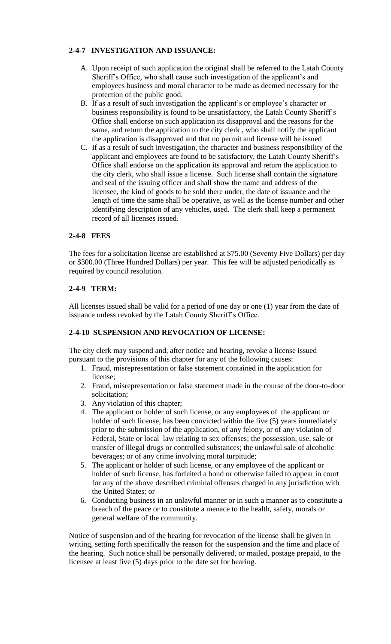# **2-4-7 INVESTIGATION AND ISSUANCE:**

- A. Upon receipt of such application the original shall be referred to the Latah County Sheriff's Office, who shall cause such investigation of the applicant's and employees business and moral character to be made as deemed necessary for the protection of the public good.
- B. If as a result of such investigation the applicant's or employee's character or business responsibility is found to be unsatisfactory, the Latah County Sheriff's Office shall endorse on such application its disapproval and the reasons for the same, and return the application to the city clerk , who shall notify the applicant the application is disapproved and that no permit and license will be issued
- C. If as a result of such investigation, the character and business responsibility of the applicant and employees are found to be satisfactory, the Latah County Sheriff's Office shall endorse on the application its approval and return the application to the city clerk, who shall issue a license. Such license shall contain the signature and seal of the issuing officer and shall show the name and address of the licensee, the kind of goods to be sold there under, the date of issuance and the length of time the same shall be operative, as well as the license number and other identifying description of any vehicles, used. The clerk shall keep a permanent record of all licenses issued.

# **2-4-8 FEES**

The fees for a solicitation license are established at \$75.00 (Seventy Five Dollars) per day or \$300.00 (Three Hundred Dollars) per year. This fee will be adjusted periodically as required by council resolution.

# **2-4-9 TERM:**

All licenses issued shall be valid for a period of one day or one (1) year from the date of issuance unless revoked by the Latah County Sheriff's Office.

# **2-4-10 SUSPENSION AND REVOCATION OF LICENSE:**

The city clerk may suspend and, after notice and hearing, revoke a license issued pursuant to the provisions of this chapter for any of the following causes:

- 1. Fraud, misrepresentation or false statement contained in the application for license;
- 2. Fraud, misrepresentation or false statement made in the course of the door-to-door solicitation;
- 3. Any violation of this chapter;
- 4. The applicant or holder of such license, or any employees of the applicant or holder of such license, has been convicted within the five (5) years immediately prior to the submission of the application, of any felony, or of any violation of Federal, State or local law relating to sex offenses; the possession, use, sale or transfer of illegal drugs or controlled substances; the unlawful sale of alcoholic beverages; or of any crime involving moral turpitude;
- 5. The applicant or holder of such license, or any employee of the applicant or holder of such license, has forfeited a bond or otherwise failed to appear in court for any of the above described criminal offenses charged in any jurisdiction with the United States; or
- 6. Conducting business in an unlawful manner or in such a manner as to constitute a breach of the peace or to constitute a menace to the health, safety, morals or general welfare of the community.

Notice of suspension and of the hearing for revocation of the license shall be given in writing, setting forth specifically the reason for the suspension and the time and place of the hearing. Such notice shall be personally delivered, or mailed, postage prepaid, to the licensee at least five (5) days prior to the date set for hearing.